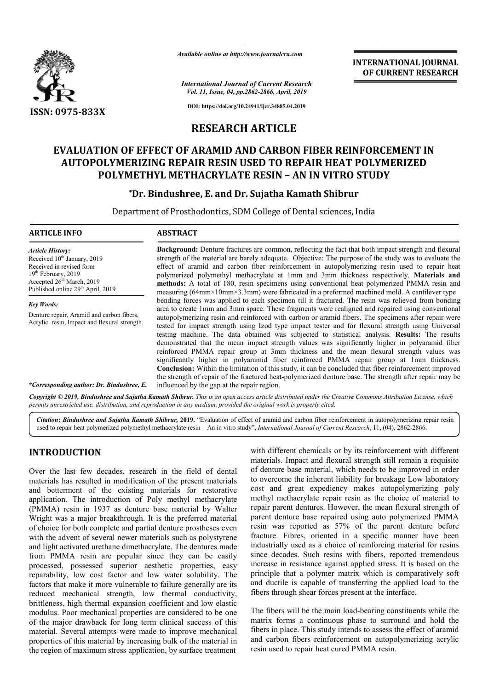

*Available online at http://www.journalcra.com*

*International Journal of Current Research Vol. 11, Issue, 04, pp.2862-2866, April, 2019*

**DOI: https://doi.org/10.24941/ijcr.34885.04.2019**

# **RESEARCH ARTICLE**

# **EVALUATION OF EFFECT OF ARAMID AND CARBON FIBER REINFORCEMENT IN**  VALUATION OF EFFECT OF ARAMID AND CARBON FIBER REINFORCEMENT I<br>AUTOPOLYMERIZING REPAIR RESIN USED TO REPAIR HEAT POLYMERIZED **POLYMETHYL METHACRYLATE RESIN – AN IN VITRO STUDY**

## **\*Dr. Bindushree Dr. Bindushree, E. and Dr. Sujatha Kamath Shibrur Shibrur**

Department of Prosthodontics, SDM College of Dental sciences, India

#### **ARTICLE INFO ABSTRACT**

*Article History:* Received 10<sup>th</sup> January, 2019 Received in revised form 19<sup>th</sup> February, 2019 Accepted  $26<sup>th</sup>$  March, 2019 Published online 29<sup>th</sup> April, 2019

*Key Words:* Denture repair, Aramid and carbon fibers, Acrylic resin, Impact and flexural strength. **Background:** Denture fractures are common, reflecting the fact that both impact strength and flexural Background: Denture fractures are common, reflecting the fact that both impact strength and flexural strength of the material are barely adequate. Objective: The purpose of the study was to evaluate the effect of aramid and carbon fiber reinforcement in autopolymeri autopolymerizing resin used to repair heat polymerized polymethyl methacrylate at 1mm and 3mm thickness respectively. Materials and methods: A total of 180, resin specimens using conventional heat polymerized PMMA resin and measuring (64mm×10mm×3.3mm) were fabricated in a preformed machined mold. A cantilever type bending forces was applied to each specimen till it fractured. The resin was relieved from bonding area to create 1mm and 3mm space. These fragments were realigned and repaired using conventional autopolymeri autopolymerizing resin and reinforced with carbon or aramid fibers. The specimens after repair were autopolymerizing resin and reinforced with carbon or aramid fibers. The specimens after repair were<br>tested for impact strength using Izod type impact tester and for flexural strength using Universal testing machine. The data obtained was subjected to statistical analysis. Results: The results demonstrated that the mean impact strength values was significantly higher in polyaramid fiber reinforced PMMA repair group at 3mm thickness and the mean flexural strength values was significantly higher in polyaramid fiber reinforced PMMA repair group at 1mm thickness. **Conclusion:** Within the limitation of this study, it can be concluded that fiber reinforcement improved the strength of repair of the fractured heat-polymerized denture base. The influenc influenced by the gap at the repair region. the mean flexural strength values was<br>treinforced PMMA repair group at 1mm thickness.<br>tudy, it can be concluded that fiber reinforcement improved<br>polymerized denture base. The strength after repair may be

*\*Corresponding author: Dr. Bindushree, E.*

Copyright © 2019, Bindushree and Sujatha Kamath Shibrur. This is an open access article distributed under the Creative Commons Attribution License, which permits unrestricted use, distribution, and reproduction in any medium, provided the original work is properly cited.

*Citation***:** *Bindushree and Sujatha Kamath Shibrur,* **2019.** "Evaluation of effect of aramid and carbon fiber reinforcement in autopolymerizing repair resin Citation: Bindushree and Sujatha Kamath Shibrur, 2019. "Evaluation of effect of aramid and carbon fiber reinforcement in autopolymerizing repair<br>used to repair heat polymerized polymethyl methacrylate resin – An in vitro s

### **INTRODUCTION**

Over the last few decades, research in the field of dental materials has resulted in modification of the present materials and betterment of the existing materials for restorative application. The introduction of Poly methyl methacrylate (PMMA) resin in 1937 as denture base material by Walter Wright was a major breakthrough. It is the preferred material of choice for both complete and partial denture prostheses even with the advent of several newer materials such as polystyrene and light activated urethane dimethacrylate. The dentures made from PMMA resin are popular since they can be easily processed, possessed superior aesthetic properties, easy reparability, low cost factor and low water solubility. The factors that make it more vulnerable to failure generally are its reduced mechanical strength, low thermal conductivity, brittleness, high thermal expansion coefficient and low elastic modulus. Poor mechanical properties are considered to be one of the major drawback for long term clinical success of this material. Several attempts were made to improve mechanical properties of this material by increasing bulk of the material in the region of maximum stress application, by surface treatment

**EXENDUCTION**<br>
With different chemicals or by its reinforcement with different<br>
wer the last few decades, research in the field of dental of denture base material, which needs to be improved in order<br>
are are are are the e materials. Impact and flexural strength still remain a requisite of denture base material, which needs to be improved in order with different chemicals or by its reinforcement with different materials. Impact and flexural strength still remain a requisite of denture base material, which needs to be improved in order to overcome the inherent liabil cost and great expediency makes autopolymerizing poly cost and great expediency makes autopolymerizing poly<br>methyl methacrylate repair resin as the choice of material to repair parent dentures. However, the mean flexural strength of repair parent dentures. However, the mean flexural strength of parent denture base repaired using auto polymerized PMMA resin was reported as 57% of the parent denture before resin was reported as 57% of the parent denture before fracture. Fibres, oriented in a specific manner have been industrially used as a choice of reinforcing material for resins since decades. Such resins with fibers, reported tremendous increase in resistance against applied stress. It is based on the industrially used as a choice of reinforcing material for resins<br>since decades. Such resins with fibers, reported tremendous<br>increase in resistance against applied stress. It is based on the<br>principle that a polymer matrix and ductile is capable of transferring the applied load to the fibers through shear forces present at the interface. In and ductile is capable of transferring the applied load to the fibers through shear forces present at the interface.<br>The fibers will be the main load-bearing constituents while the **EXERCTIONAL JOURNAL SEARCH CONSUMING SEARCH CONSUMING SEARCH CONSUMING SEARCH CONSUMING SEARCH (AL 2019)**<br> **AL 2019**<br> **AL 2019**<br> **AL 2019**<br> **AL 2019**<br> **ON FIBER REINFORCEMENT IN REPAIR HEAT POLYMERIZED** ON FIBER REINTOR S

**INTERNATIONAL JOURNAL OF CURRENT RESEARCH**

matrix forms a continuous phase to surround and hold the fibers in place. This study intends to assess the effect of aramid and carbon fibers reinforcement on autopolymerizing acrylic resin used to repair heat cured PMMA resin.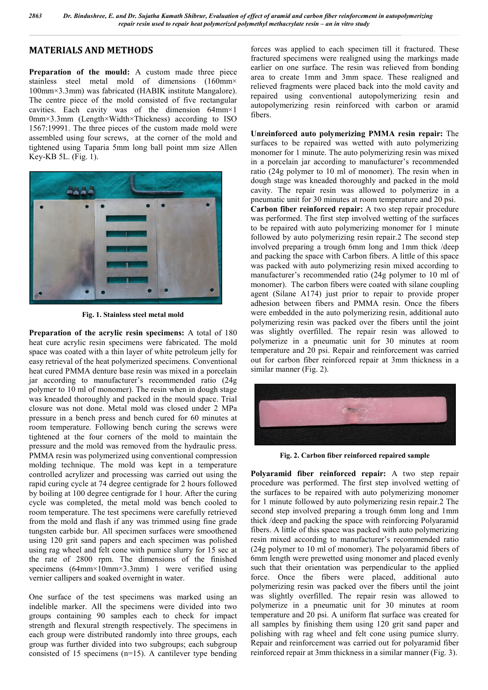# **MATERIALS AND METHODS**

Preparation of the mould: A custom made three piece stainless steel metal mold of dimensions (160mm× 100mm×3.3mm) was fabricated (HABIK institute Mangalore). The centre piece of the mold consisted of five rectangular cavities. Each cavity was of the dimension 64mm×1 0mm×3.3mm (Length×Width×Thickness) according to ISO 1567:19991. The three pieces of the custom made mold were assembled using four screws, at the corner of the mold and tightened using Taparia 5mm long ball point mm size Allen Key-KB 5L. (Fig. 1).



**Fig. 1. Stainless steel metal mold**

**Preparation of the acrylic resin specimens:** A total of 180 heat cure acrylic resin specimens were fabricated. The mold space was coated with a thin layer of white petroleum jelly for easy retrieval of the heat polymerized specimens. Conventional heat cured PMMA denture base resin was mixed in a porcelain jar according to manufacturer's recommended ratio (24g polymer to 10 ml of monomer). The resin when in dough stage was kneaded thoroughly and packed in the mould space. Trial closure was not done. Metal mold was closed under 2 MPa pressure in a bench press and bench cured for 60 minutes at room temperature. Following bench curing the screws were tightened at the four corners of the mold to maintain the pressure and the mold was removed from the hydraulic press. PMMA resin was polymerized using conventional compression molding technique. The mold was kept in a temperature controlled acrylizer and processing was carried out using the rapid curing cycle at 74 degree centigrade for 2 hours followed by boiling at 100 degree centigrade for 1 hour. After the curing cycle was completed, the metal mold was bench cooled to room temperature. The test specimens were carefully retrieved from the mold and flash if any was trimmed using fine grade tungsten carbide bur. All specimen surfaces were smoothened using 120 grit sand papers and each specimen was polished using rag wheel and felt cone with pumice slurry for 15 sec at the rate of 2800 rpm. The dimensions of the finished specimens (64mm×10mm×3.3mm) 1 were verified using vernier callipers and soaked overnight in water.

One surface of the test specimens was marked using an indelible marker. All the specimens were divided into two groups containing 90 samples each to check for impact strength and flexural strength respectively. The specimens in each group were distributed randomly into three groups, each group was further divided into two subgroups; each subgroup consisted of 15 specimens (n=15). A cantilever type bending forces was applied to each specimen till it fractured. These fractured specimens were realigned using the markings made earlier on one surface. The resin was relieved from bonding area to create 1mm and 3mm space. These realigned and relieved fragments were placed back into the mold cavity and repaired using conventional autopolymerizing resin and autopolymerizing resin reinforced with carbon or aramid fibers.

**Unreinforced auto polymerizing PMMA resin repair:** The surfaces to be repaired was wetted with auto polymerizing monomer for 1 minute. The auto polymerizing resin was mixed in a porcelain jar according to manufacturer's recommended ratio (24g polymer to 10 ml of monomer). The resin when in dough stage was kneaded thoroughly and packed in the mold cavity. The repair resin was allowed to polymerize in a pneumatic unit for 30 minutes at room temperature and 20 psi. **Carbon fiber reinforced repair:** A two step repair procedure was performed. The first step involved wetting of the surfaces to be repaired with auto polymerizing monomer for 1 minute followed by auto polymerizing resin repair.2 The second step involved preparing a trough 6mm long and 1mm thick /deep and packing the space with Carbon fibers. A little of this space was packed with auto polymerizing resin mixed according to manufacturer's recommended ratio (24g polymer to 10 ml of monomer). The carbon fibers were coated with silane coupling agent (Silane A174) just prior to repair to provide proper adhesion between fibers and PMMA resin. Once the fibers were embedded in the auto polymerizing resin, additional auto polymerizing resin was packed over the fibers until the joint was slightly overfilled. The repair resin was allowed to polymerize in a pneumatic unit for 30 minutes at room temperature and 20 psi. Repair and reinforcement was carried out for carbon fiber reinforced repair at 3mm thickness in a similar manner (Fig. 2).



**Fig. 2. Carbon fiber reinforced repaired sample**

**Polyaramid fiber reinforced repair:** A two step repair procedure was performed. The first step involved wetting of the surfaces to be repaired with auto polymerizing monomer for 1 minute followed by auto polymerizing resin repair.2 The second step involved preparing a trough 6mm long and 1mm thick /deep and packing the space with reinforcing Polyaramid fibers. A little of this space was packed with auto polymerizing resin mixed according to manufacturer's recommended ratio (24g polymer to 10 ml of monomer). The polyaramid fibers of 6mm length were prewetted using monomer and placed evenly such that their orientation was perpendicular to the applied force. Once the fibers were placed, additional auto polymerizing resin was packed over the fibers until the joint was slightly overfilled. The repair resin was allowed to polymerize in a pneumatic unit for 30 minutes at room temperature and 20 psi. A uniform flat surface was created for all samples by finishing them using 120 grit sand paper and polishing with rag wheel and felt cone using pumice slurry. Repair and reinforcement was carried out for polyaramid fiber reinforced repair at 3mm thickness in a similar manner (Fig. 3).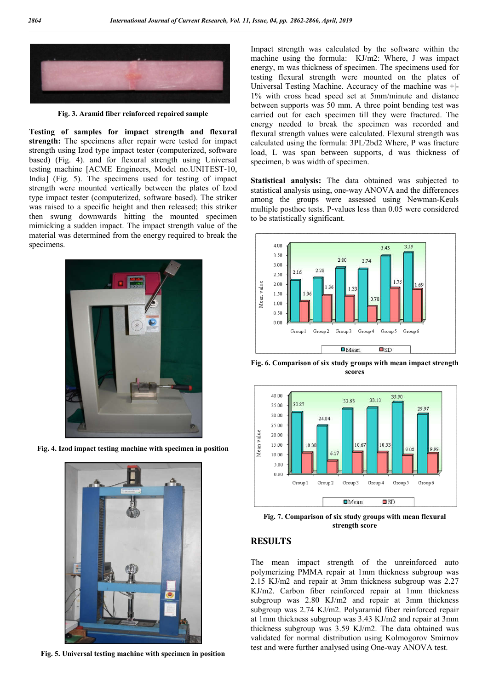

**Fig. 3. Aramid fiber reinforced repaired sample**

**Testing of samples for impact strength and flexural strength:** The specimens after repair were tested for impact strength using Izod type impact tester (computerized, software based) (Fig. 4). and for flexural strength using Universal testing machine [ACME Engineers, Model no.UNITEST-10, India] (Fig. 5). The specimens used for testing of impact strength were mounted vertically between the plates of Izod type impact tester (computerized, software based). The striker was raised to a specific height and then released; this striker then swung downwards hitting the mounted specimen mimicking a sudden impact. The impact strength value of the material was determined from the energy required to break the specimens.



**Fig. 4. Izod impact testing machine with specimen in position**



**Fig. 5. Universal testing machine with specimen in position**

Impact strength was calculated by the software within the machine using the formula: KJ/m2: Where, J was impact energy, m was thickness of specimen. The specimens used for testing flexural strength were mounted on the plates of Universal Testing Machine. Accuracy of the machine was +|- 1% with cross head speed set at 5mm/minute and distance between supports was 50 mm. A three point bending test was carried out for each specimen till they were fractured. The energy needed to break the specimen was recorded and flexural strength values were calculated. Flexural strength was calculated using the formula: 3PL/2bd2 Where, P was fracture load, L was span between supports, d was thickness of specimen, b was width of specimen.

**Statistical analysis:** The data obtained was subjected to statistical analysis using, one-way ANOVA and the differences among the groups were assessed using Newman-Keuls multiple posthoc tests. P-values less than 0.05 were considered to be statistically significant.



**Fig. 6. Comparison of six study groups with mean impact strength scores**



**Fig. 7. Comparison of six study groups with mean flexural strength score**

#### **RESULTS**

The mean impact strength of the unreinforced auto polymerizing PMMA repair at 1mm thickness subgroup was 2.15 KJ/m2 and repair at 3mm thickness subgroup was 2.27 KJ/m2. Carbon fiber reinforced repair at 1mm thickness subgroup was 2.80 KJ/m2 and repair at 3mm thickness subgroup was 2.74 KJ/m2. Polyaramid fiber reinforced repair at 1mm thickness subgroup was 3.43 KJ/m2 and repair at 3mm thickness subgroup was 3.59 KJ/m2. The data obtained was validated for normal distribution using Kolmogorov Smirnov test and were further analysed using One-way ANOVA test.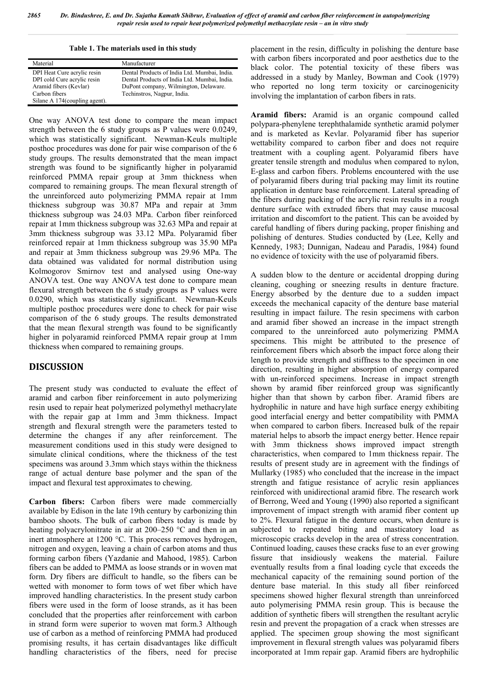**Table 1. The materials used in this study**

| Material                       | Manufacturer                                 |
|--------------------------------|----------------------------------------------|
| DPI Heat Cure acrylic resin    | Dental Products of India Ltd. Mumbai, India. |
| DPI cold Cure acrylic resin    | Dental Products of India Ltd. Mumbai, India. |
| Aramid fibers (Kevlar)         | DuPont company, Wilmington, Delaware.        |
| Carbon fibers                  | Techinstros, Nagpur, India.                  |
| Silane A 174 (coupling agent). |                                              |

One way ANOVA test done to compare the mean impact strength between the 6 study groups as P values were 0.0249, which was statistically significant. Newman-Keuls multiple posthoc procedures was done for pair wise comparison of the 6 study groups. The results demonstrated that the mean impact strength was found to be significantly higher in polyaramid reinforced PMMA repair group at 3mm thickness when compared to remaining groups. The mean flexural strength of the unreinforced auto polymerizing PMMA repair at 1mm thickness subgroup was 30.87 MPa and repair at 3mm thickness subgroup was 24.03 MPa. Carbon fiber reinforced repair at 1mm thickness subgroup was 32.63 MPa and repair at 3mm thickness subgroup was 33.12 MPa. Polyaramid fiber reinforced repair at 1mm thickness subgroup was 35.90 MPa and repair at 3mm thickness subgroup was 29.96 MPa. The data obtained was validated for normal distribution using Kolmogorov Smirnov test and analysed using One-way ANOVA test. One way ANOVA test done to compare mean flexural strength between the 6 study groups as P values were 0.0290, which was statistically significant. Newman-Keuls multiple posthoc procedures were done to check for pair wise comparison of the 6 study groups. The results demonstrated that the mean flexural strength was found to be significantly higher in polyaramid reinforced PMMA repair group at 1mm thickness when compared to remaining groups.

# **DISCUSSION**

The present study was conducted to evaluate the effect of aramid and carbon fiber reinforcement in auto polymerizing resin used to repair heat polymerized polymethyl methacrylate with the repair gap at 1mm and 3mm thickness. Impact strength and flexural strength were the parameters tested to determine the changes if any after reinforcement. The measurement conditions used in this study were designed to simulate clinical conditions, where the thickness of the test specimens was around 3.3mm which stays within the thickness range of actual denture base polymer and the span of the impact and flexural test approximates to chewing.

**Carbon fibers:** Carbon fibers were made commercially available by Edison in the late 19th century by carbonizing thin bamboo shoots. The bulk of carbon fibers today is made by heating polyacrylonitrate in air at 200–250 °C and then in an inert atmosphere at 1200 °C. This process removes hydrogen, nitrogen and oxygen, leaving a chain of carbon atoms and thus forming carbon fibers (Yazdanie and Mahood, 1985). Carbon fibers can be added to PMMA as loose strands or in woven mat form. Dry fibers are difficult to handle, so the fibers can be wetted with monomer to form tows of wet fiber which have improved handling characteristics. In the present study carbon fibers were used in the form of loose strands, as it has been concluded that the properties after reinforcement with carbon in strand form were superior to woven mat form.3 Although use of carbon as a method of reinforcing PMMA had produced promising results, it has certain disadvantages like difficult handling characteristics of the fibers, need for precise

placement in the resin, difficulty in polishing the denture base with carbon fibers incorporated and poor aesthetics due to the black color. The potential toxicity of these fibers was addressed in a study by Manley, Bowman and Cook (1979) who reported no long term toxicity or carcinogenicity involving the implantation of carbon fibers in rats.

**Aramid fibers:** Aramid is an organic compound called polypara-phenylene terephthalamide synthetic aramid polymer and is marketed as Kevlar. Polyaramid fiber has superior wettability compared to carbon fiber and does not require treatment with a coupling agent. Polyaramid fibers have greater tensile strength and modulus when compared to nylon, E-glass and carbon fibers. Problems encountered with the use of polyaramid fibers during trial packing may limit its routine application in denture base reinforcement. Lateral spreading of the fibers during packing of the acrylic resin results in a rough denture surface with extruded fibers that may cause mucosal irritation and discomfort to the patient. This can be avoided by careful handling of fibers during packing, proper finishing and polishing of dentures. Studies conducted by (Lee, Kelly and Kennedy, 1983; Dunnigan, Nadeau and Paradis, 1984) found no evidence of toxicity with the use of polyaramid fibers.

A sudden blow to the denture or accidental dropping during cleaning, coughing or sneezing results in denture fracture. Energy absorbed by the denture due to a sudden impact exceeds the mechanical capacity of the denture base material resulting in impact failure. The resin specimens with carbon and aramid fiber showed an increase in the impact strength compared to the unreinforced auto polymerizing PMMA specimens. This might be attributed to the presence of reinforcement fibers which absorb the impact force along their length to provide strength and stiffness to the specimen in one direction, resulting in higher absorption of energy compared with un-reinforced specimens. Increase in impact strength shown by aramid fiber reinforced group was significantly higher than that shown by carbon fiber. Aramid fibers are hydrophilic in nature and have high surface energy exhibiting good interfacial energy and better compatibility with PMMA when compared to carbon fibers. Increased bulk of the repair material helps to absorb the impact energy better. Hence repair with 3mm thickness shows improved impact strength characteristics, when compared to 1mm thickness repair. The results of present study are in agreement with the findings of Mullarky (1985) who concluded that the increase in the impact strength and fatigue resistance of acrylic resin appliances reinforced with unidirectional aramid fibre. The research work of Berrong, Weed and Young (1990) also reported a significant improvement of impact strength with aramid fiber content up to 2%. Flexural fatigue in the denture occurs, when denture is subjected to repeated biting and masticatory load as microscopic cracks develop in the area of stress concentration. Continued loading, causes these cracks fuse to an ever growing fissure that insidiously weakens the material. Failure eventually results from a final loading cycle that exceeds the mechanical capacity of the remaining sound portion of the denture base material. In this study all fiber reinforced specimens showed higher flexural strength than unreinforced auto polymerising PMMA resin group. This is because the addition of synthetic fibers will strengthen the resultant acrylic resin and prevent the propagation of a crack when stresses are applied. The specimen group showing the most significant improvement in flexural strength values was polyaramid fibers incorporated at 1mm repair gap. Aramid fibers are hydrophilic